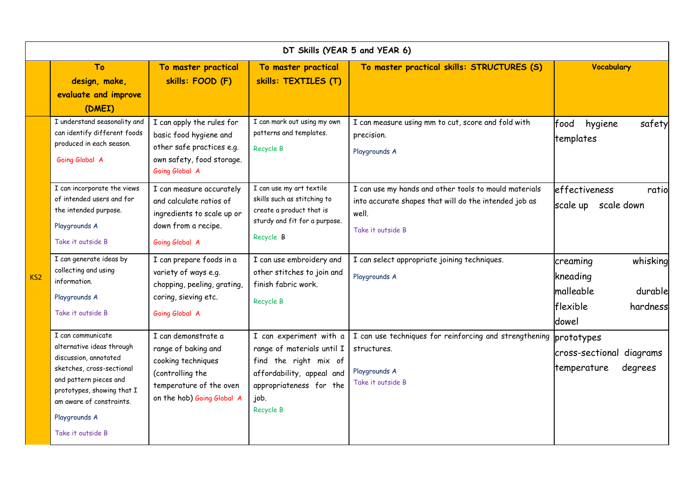| DT Skills (YEAR 5 and YEAR 6) |                                                                                                                                                                                                                                |                                                                                                                                               |                                                                                                                                                             |                                                                                                                                              |                                                                                            |  |  |  |  |  |
|-------------------------------|--------------------------------------------------------------------------------------------------------------------------------------------------------------------------------------------------------------------------------|-----------------------------------------------------------------------------------------------------------------------------------------------|-------------------------------------------------------------------------------------------------------------------------------------------------------------|----------------------------------------------------------------------------------------------------------------------------------------------|--------------------------------------------------------------------------------------------|--|--|--|--|--|
|                               | To<br>design, make,<br>evaluate and improve<br>(DMEI)                                                                                                                                                                          | To master practical<br>skills: FOOD (F)                                                                                                       | To master practical<br>skills: TEXTILES (T)                                                                                                                 | To master practical skills: STRUCTURES (S)                                                                                                   | <b>Vocabulary</b>                                                                          |  |  |  |  |  |
| KS <sub>2</sub>               | I understand seasonality and<br>can identify different foods<br>produced in each season.<br>Going Global A                                                                                                                     | I can apply the rules for<br>basic food hygiene and<br>other safe practices e.g.<br>own safety, food storage.<br>Going Global A               | I can mark out using my own<br>patterns and templates.<br>Recycle B                                                                                         | I can measure using mm to cut, score and fold with<br>precision.<br>Playgrounds A                                                            | food<br>hygiene<br>safety<br>templates                                                     |  |  |  |  |  |
|                               | I can incorporate the views<br>of intended users and for<br>the intended purpose.<br>Playgrounds A<br>Take it outside B                                                                                                        | I can measure accurately<br>and calculate ratios of<br>ingredients to scale up or<br>down from a recipe.<br>Going Global A                    | I can use my art textile<br>skills such as stitching to<br>create a product that is<br>sturdy and fit for a purpose.<br>Recycle B                           | I can use my hands and other tools to mould materials<br>into accurate shapes that will do the intended job as<br>well.<br>Take it outside B | effectiveness<br>ratio<br>scale up<br>scale down                                           |  |  |  |  |  |
|                               | I can generate ideas by<br>collecting and using<br>information.<br>Playgrounds A<br>Take it outside B                                                                                                                          | I can prepare foods in a<br>variety of ways e.g.<br>chopping, peeling, grating,<br>coring, sieving etc.<br>Going Global A                     | I can use embroidery and<br>other stitches to join and<br>finish fabric work.<br>Recycle B                                                                  | I can select appropriate joining techniques.<br>Playgrounds A                                                                                | whisking<br>creaming<br>kneading<br>malleable<br>durable<br>flexible<br>hardness<br>ldowel |  |  |  |  |  |
|                               | I can communicate<br>alternative ideas through<br>discussion, annotated<br>sketches, cross-sectional<br>and pattern pieces and<br>prototypes, showing that I<br>am aware of constraints.<br>Playgrounds A<br>Take it outside B | I can demonstrate a<br>range of baking and<br>cooking techniques<br>(controlling the<br>temperature of the oven<br>on the hob) Going Global A | I can experiment with a<br>range of materials until I<br>find the right mix of<br>affordability, appeal and<br>appropriateness for the<br>job.<br>Recycle B | I can use techniques for reinforcing and strengthening<br>structures.<br>Playgrounds A<br>Take it outside B                                  | prototypes<br>diagrams<br>cross-sectional<br>degrees<br>temperature                        |  |  |  |  |  |